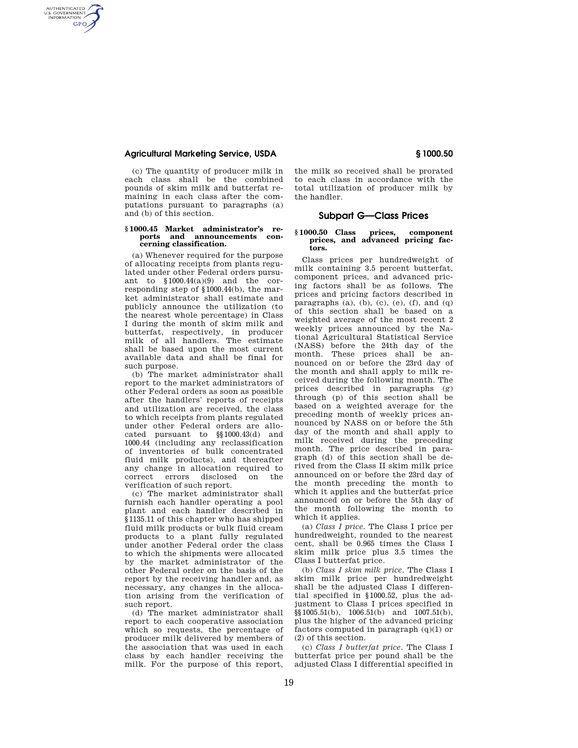### **Agricultural Marketing Service, USDA § 1000.50**

AUTHENTICATED<br>U.S. GOVERNMENT<br>INFORMATION **GPO** 

> (c) The quantity of producer milk in each class shall be the combined pounds of skim milk and butterfat remaining in each class after the computations pursuant to paragraphs (a) and (b) of this section.

#### **§ 1000.45 Market administrator's reports and announcements concerning classification.**

(a) Whenever required for the purpose of allocating receipts from plants regulated under other Federal orders pursuant to §1000.44(a)(9) and the corresponding step of §1000.44(b), the market administrator shall estimate and publicly announce the utilization (to the nearest whole percentage) in Class I during the month of skim milk and butterfat, respectively, in producer milk of all handlers. The estimate shall be based upon the most current available data and shall be final for such purpose.

(b) The market administrator shall report to the market administrators of other Federal orders as soon as possible after the handlers' reports of receipts and utilization are received, the class to which receipts from plants regulated under other Federal orders are allocated pursuant to §§1000.43(d) and 1000.44 (including any reclassification of inventories of bulk concentrated fluid milk products), and thereafter any change in allocation required to<br>correct errors disclosed on the correct errors disclosed on verification of such report.

(c) The market administrator shall furnish each handler operating a pool plant and each handler described in §1135.11 of this chapter who has shipped fluid milk products or bulk fluid cream products to a plant fully regulated under another Federal order the class to which the shipments were allocated by the market administrator of the other Federal order on the basis of the report by the receiving handler and, as necessary, any changes in the allocation arising from the verification of such report.

(d) The market administrator shall report to each cooperative association which so requests, the percentage of producer milk delivered by members of the association that was used in each class by each handler receiving the milk. For the purpose of this report, the milk so received shall be prorated to each class in accordance with the total utilization of producer milk by the handler.

# **Subpart G—Class Prices**

#### **§ 1000.50 Class prices, component prices, and advanced pricing factors.**

Class prices per hundredweight of milk containing 3.5 percent butterfat, component prices, and advanced pricing factors shall be as follows. The prices and pricing factors described in paragraphs (a), (b), (c), (e), (f), and  $(q)$ of this section shall be based on a weighted average of the most recent 2 weekly prices announced by the National Agricultural Statistical Service (NASS) before the 24th day of the month. These prices shall be announced on or before the 23rd day of the month and shall apply to milk received during the following month. The prices described in paragraphs (g) through (p) of this section shall be based on a weighted average for the preceding month of weekly prices announced by NASS on or before the 5th day of the month and shall apply to milk received during the preceding month. The price described in paragraph (d) of this section shall be derived from the Class II skim milk price announced on or before the 23rd day of the month preceding the month to which it applies and the butterfat price announced on or before the 5th day of the month following the month to which it applies.

(a) *Class I price.* The Class I price per hundredweight, rounded to the nearest cent, shall be 0.965 times the Class I skim milk price plus 3.5 times the Class I butterfat price.

(b) *Class I skim milk price*. The Class I skim milk price per hundredweight shall be the adjusted Class I differential specified in §1000.52, plus the adjustment to Class I prices specified in §§1005.51(b), 1006.51(b) and 1007.51(b), plus the higher of the advanced pricing factors computed in paragraph (q)(1) or (2) of this section.

(c) *Class I butterfat price*. The Class I butterfat price per pound shall be the adjusted Class I differential specified in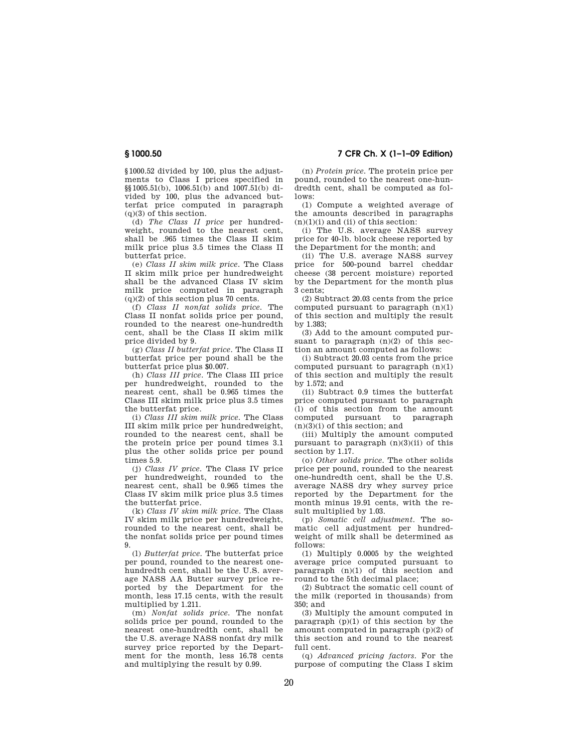§1000.52 divided by 100, plus the adjustments to Class I prices specified in §§1005.51(b), 1006.51(b) and 1007.51(b) divided by 100, plus the advanced butterfat price computed in paragraph  $(a)(3)$  of this section.

(d) *The Class II price* per hundredweight, rounded to the nearest cent, shall be .965 times the Class II skim milk price plus 3.5 times the Class II butterfat price.

(e) *Class II skim milk price.* The Class II skim milk price per hundredweight shall be the advanced Class IV skim milk price computed in paragraph  $(q)(2)$  of this section plus 70 cents.

(f) *Class II nonfat solids price.* The Class II nonfat solids price per pound, rounded to the nearest one-hundredth cent, shall be the Class II skim milk price divided by 9.

(g) *Class II butterfat price.* The Class II butterfat price per pound shall be the butterfat price plus \$0.007.

(h) *Class III price.* The Class III price per hundredweight, rounded to the nearest cent, shall be 0.965 times the Class III skim milk price plus 3.5 times the butterfat price.

(i) *Class III skim milk price.* The Class III skim milk price per hundredweight, rounded to the nearest cent, shall be the protein price per pound times 3.1 plus the other solids price per pound times 5.9.

(j) *Class IV price.* The Class IV price per hundredweight, rounded to the nearest cent, shall be 0.965 times the Class IV skim milk price plus 3.5 times the butterfat price.

(k) *Class IV skim milk price.* The Class IV skim milk price per hundredweight, rounded to the nearest cent, shall be the nonfat solids price per pound times 9.

(l) *Butterfat price.* The butterfat price per pound, rounded to the nearest onehundredth cent, shall be the U.S. average NASS AA Butter survey price reported by the Department for the month, less 17.15 cents, with the result multiplied by 1.211.

(m) *Nonfat solids price.* The nonfat solids price per pound, rounded to the nearest one-hundredth cent, shall be the U.S. average NASS nonfat dry milk survey price reported by the Department for the month, less 16.78 cents and multiplying the result by 0.99.

**§ 1000.50 7 CFR Ch. X (1–1–09 Edition)** 

(n) *Protein price.* The protein price per pound, rounded to the nearest one-hundredth cent, shall be computed as follows:

(1) Compute a weighted average of the amounts described in paragraphs  $(n)(1)(i)$  and  $(ii)$  of this section:

(i) The U.S. average NASS survey price for 40-lb. block cheese reported by the Department for the month; and

(ii) The U.S. average NASS survey price for 500-pound barrel cheddar cheese (38 percent moisture) reported by the Department for the month plus 3 cents;

(2) Subtract 20.03 cents from the price computed pursuant to paragraph  $(n)(1)$ of this section and multiply the result by 1.383;

(3) Add to the amount computed pursuant to paragraph  $(n)(2)$  of this section an amount computed as follows:

(i) Subtract 20.03 cents from the price computed pursuant to paragraph  $(n)(1)$ of this section and multiply the result by 1.572; and

(ii) Subtract 0.9 times the butterfat price computed pursuant to paragraph (l) of this section from the amount computed pursuant to paragraph  $(n)(3)(i)$  of this section; and

(iii) Multiply the amount computed pursuant to paragraph  $(n)(3)(ii)$  of this section by 1.17.

(o) *Other solids price.* The other solids price per pound, rounded to the nearest one-hundredth cent, shall be the U.S. average NASS dry whey survey price reported by the Department for the month minus 19.91 cents, with the result multiplied by 1.03.

(p) *Somatic cell adjustment.* The somatic cell adjustment per hundredweight of milk shall be determined as follows:

(1) Multiply 0.0005 by the weighted average price computed pursuant to paragraph (n)(1) of this section and round to the 5th decimal place;

(2) Subtract the somatic cell count of the milk (reported in thousands) from  $350;$  and

(3) Multiply the amount computed in paragraph (p)(1) of this section by the amount computed in paragraph (p)(2) of this section and round to the nearest full cent.

(q) *Advanced pricing factors.* For the purpose of computing the Class I skim